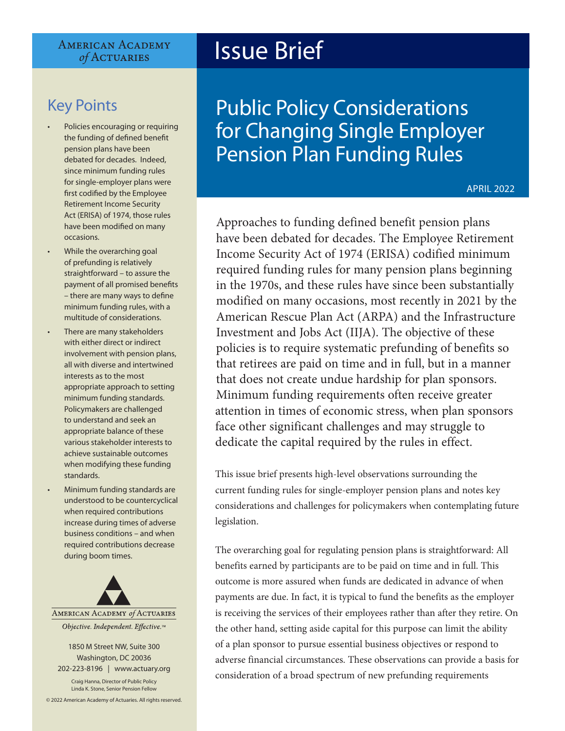#### **AMERICAN ACADEMY** of ACTUARIES

### Key Points

- Policies encouraging or requiring the funding of defined benefit pension plans have been debated for decades. Indeed, since minimum funding rules for single-employer plans were first codified by the Employee Retirement Income Security Act (ERISA) of 1974, those rules have been modified on many occasions.
- While the overarching goal of prefunding is relatively straightforward – to assure the payment of all promised benefits – there are many ways to define minimum funding rules, with a multitude of considerations.
- There are many stakeholders with either direct or indirect involvement with pension plans, all with diverse and intertwined interests as to the most appropriate approach to setting minimum funding standards. Policymakers are challenged to understand and seek an appropriate balance of these various stakeholder interests to achieve sustainable outcomes when modifying these funding standards.
- Minimum funding standards are understood to be countercyclical when required contributions increase during times of adverse business conditions – and when required contributions decrease during boom times.



1850 M Street NW, Suite 300 Washington, DC 20036

202-223-8196 | [www.actuary.org](http://actuary.org) Craig Hanna, Director of Public Policy Linda K. Stone, Senior Pension Fellow

© 2022 American Academy of Actuaries. All rights reserved.

# Issue Brief

## Public Policy Considerations for Changing Single Employer Pension Plan Funding Rules

APRIL 2022

Approaches to funding defined benefit pension plans have been debated for decades. The Employee Retirement Income Security Act of 1974 (ERISA) codified minimum required funding rules for many pension plans beginning in the 1970s, and these rules have since been substantially modified on many occasions, most recently in 2021 by the American Rescue Plan Act (ARPA) and the Infrastructure Investment and Jobs Act (IIJA). The objective of these policies is to require systematic prefunding of benefits so that retirees are paid on time and in full, but in a manner that does not create undue hardship for plan sponsors. Minimum funding requirements often receive greater attention in times of economic stress, when plan sponsors face other significant challenges and may struggle to dedicate the capital required by the rules in effect.

This issue brief presents high-level observations surrounding the current funding rules for single-employer pension plans and notes key considerations and challenges for policymakers when contemplating future legislation.

The overarching goal for regulating pension plans is straightforward: All benefits earned by participants are to be paid on time and in full. This outcome is more assured when funds are dedicated in advance of when payments are due. In fact, it is typical to fund the benefits as the employer is receiving the services of their employees rather than after they retire. On the other hand, setting aside capital for this purpose can limit the ability of a plan sponsor to pursue essential business objectives or respond to adverse financial circumstances. These observations can provide a basis for consideration of a broad spectrum of new prefunding requirements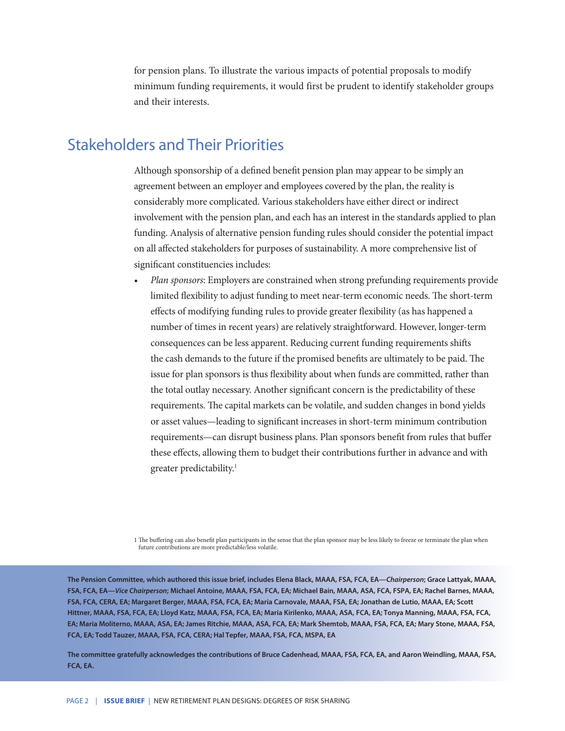for pension plans. To illustrate the various impacts of potential proposals to modify minimum funding requirements, it would first be prudent to identify stakeholder groups and their interests.

#### Stakeholders and Their Priorities

Although sponsorship of a defined benefit pension plan may appear to be simply an agreement between an employer and employees covered by the plan, the reality is considerably more complicated. Various stakeholders have either direct or indirect involvement with the pension plan, and each has an interest in the standards applied to plan funding. Analysis of alternative pension funding rules should consider the potential impact on all affected stakeholders for purposes of sustainability. A more comprehensive list of significant constituencies includes:

*• Plan sponsors*: Employers are constrained when strong prefunding requirements provide limited flexibility to adjust funding to meet near-term economic needs. The short-term effects of modifying funding rules to provide greater flexibility (as has happened a number of times in recent years) are relatively straightforward. However, longer-term consequences can be less apparent. Reducing current funding requirements shifts the cash demands to the future if the promised benefits are ultimately to be paid. The issue for plan sponsors is thus flexibility about when funds are committed, rather than the total outlay necessary. Another significant concern is the predictability of these requirements. The capital markets can be volatile, and sudden changes in bond yields or asset values—leading to significant increases in short-term minimum contribution requirements—can disrupt business plans. Plan sponsors benefit from rules that buffer these effects, allowing them to budget their contributions further in advance and with greater predictability.<sup>1</sup>

1 The buffering can also benefit plan participants in the sense that the plan sponsor may be less likely to freeze or terminate the plan when future contributions are more predictable/less volatile.

**The Pension Committee, which authored this issue brief, includes Elena Black, MAAA, FSA, FCA, EA—***Chairperson***; Grace Lattyak, MAAA, FSA, FCA, EA—***Vice Chairperson***; Michael Antoine, MAAA, FSA, FCA, EA; Michael Bain, MAAA, ASA, FCA, FSPA, EA; Rachel Barnes, MAAA, FSA, FCA, CERA, EA; Margaret Berger, MAAA, FSA, FCA, EA; Maria Carnovale, MAAA, FSA, EA; Jonathan de Lutio, MAAA, EA; Scott Hittner, MAAA, FSA, FCA, EA; Lloyd Katz, MAAA, FSA, FCA, EA; Maria Kirilenko, MAAA, ASA, FCA, EA; Tonya Manning, MAAA, FSA, FCA, EA; Maria Moliterno, MAAA, ASA, EA; James Ritchie, MAAA, ASA, FCA, EA; Mark Shemtob, MAAA, FSA, FCA, EA; Mary Stone, MAAA, FSA, FCA, EA; Todd Tauzer, MAAA, FSA, FCA, CERA; Hal Tepfer, MAAA, FSA, FCA, MSPA, EA** 

**The committee gratefully acknowledges the contributions of Bruce Cadenhead, MAAA, FSA, FCA, EA, and Aaron Weindling, MAAA, FSA, FCA, EA.**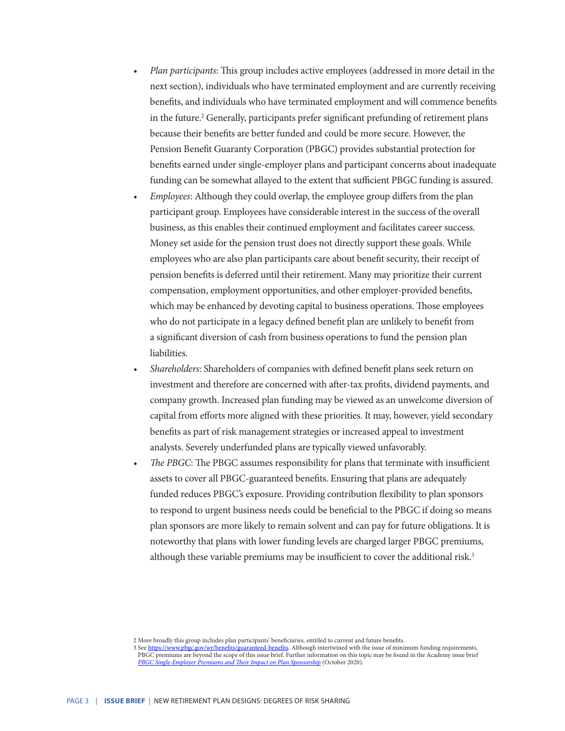- *• Plan participants*: This group includes active employees (addressed in more detail in the next section), individuals who have terminated employment and are currently receiving benefits, and individuals who have terminated employment and will commence benefits in the future.<sup>2</sup> Generally, participants prefer significant prefunding of retirement plans because their benefits are better funded and could be more secure. However, the Pension Benefit Guaranty Corporation (PBGC) provides substantial protection for benefits earned under single-employer plans and participant concerns about inadequate funding can be somewhat allayed to the extent that sufficient PBGC funding is assured.
- *• Employees*: Although they could overlap, the employee group differs from the plan participant group. Employees have considerable interest in the success of the overall business, as this enables their continued employment and facilitates career success. Money set aside for the pension trust does not directly support these goals. While employees who are also plan participants care about benefit security, their receipt of pension benefits is deferred until their retirement. Many may prioritize their current compensation, employment opportunities, and other employer-provided benefits, which may be enhanced by devoting capital to business operations. Those employees who do not participate in a legacy defined benefit plan are unlikely to benefit from a significant diversion of cash from business operations to fund the pension plan liabilities.
- *• Shareholders*: Shareholders of companies with defined benefit plans seek return on investment and therefore are concerned with after-tax profits, dividend payments, and company growth. Increased plan funding may be viewed as an unwelcome diversion of capital from efforts more aligned with these priorities. It may, however, yield secondary benefits as part of risk management strategies or increased appeal to investment analysts. Severely underfunded plans are typically viewed unfavorably.
- *• The PBGC*: The PBGC assumes responsibility for plans that terminate with insufficient assets to cover all PBGC-guaranteed benefits. Ensuring that plans are adequately funded reduces PBGC's exposure. Providing contribution flexibility to plan sponsors to respond to urgent business needs could be beneficial to the PBGC if doing so means plan sponsors are more likely to remain solvent and can pay for future obligations. It is noteworthy that plans with lower funding levels are charged larger PBGC premiums, although these variable premiums may be insufficient to cover the additional risk.<sup>3</sup>

<sup>2</sup> More broadly this group includes plan participants' beneficiaries, entitled to current and future benefits.<br>3 See https://www.pbgc.gov/wr/benefits/guaranteed-benefits. Although intertwined with the issue of minir

ov/wr/benefits/guaranteed-benefits. Although intertwined with the issue of minimum funding requirements, PBGC premiums are beyond the scope of this issue brief. Further information on this topic may be found in the Academy issue brief *[PBGC Single-Employer Premiums and Their Impact on Plan Sponsorship](https://www.actuary.org/sites/default/files/2020-10/PBGCPremiumsIB.pdf)* (October 2020).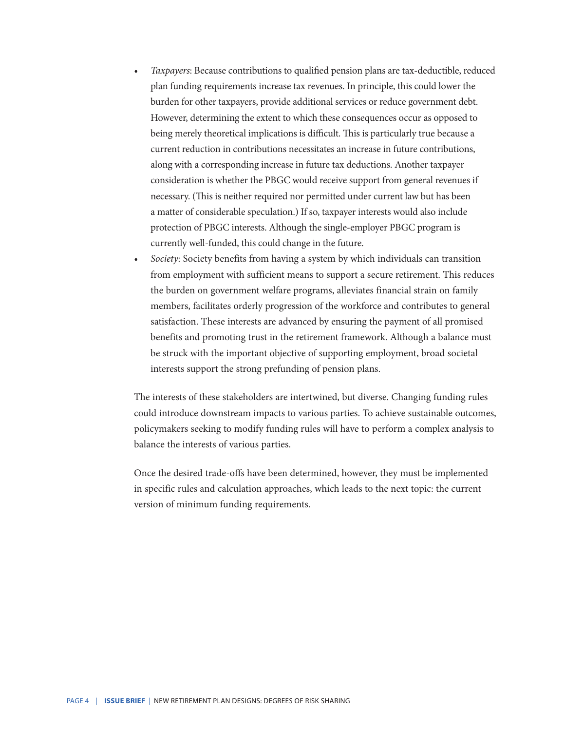- *• Taxpayers*: Because contributions to qualified pension plans are tax-deductible, reduced plan funding requirements increase tax revenues. In principle, this could lower the burden for other taxpayers, provide additional services or reduce government debt. However, determining the extent to which these consequences occur as opposed to being merely theoretical implications is difficult. This is particularly true because a current reduction in contributions necessitates an increase in future contributions, along with a corresponding increase in future tax deductions. Another taxpayer consideration is whether the PBGC would receive support from general revenues if necessary. (This is neither required nor permitted under current law but has been a matter of considerable speculation.) If so, taxpayer interests would also include protection of PBGC interests. Although the single-employer PBGC program is currently well-funded, this could change in the future.
- *• Society*: Society benefits from having a system by which individuals can transition from employment with sufficient means to support a secure retirement. This reduces the burden on government welfare programs, alleviates financial strain on family members, facilitates orderly progression of the workforce and contributes to general satisfaction. These interests are advanced by ensuring the payment of all promised benefits and promoting trust in the retirement framework. Although a balance must be struck with the important objective of supporting employment, broad societal interests support the strong prefunding of pension plans.

The interests of these stakeholders are intertwined, but diverse. Changing funding rules could introduce downstream impacts to various parties. To achieve sustainable outcomes, policymakers seeking to modify funding rules will have to perform a complex analysis to balance the interests of various parties.

Once the desired trade-offs have been determined, however, they must be implemented in specific rules and calculation approaches, which leads to the next topic: the current version of minimum funding requirements.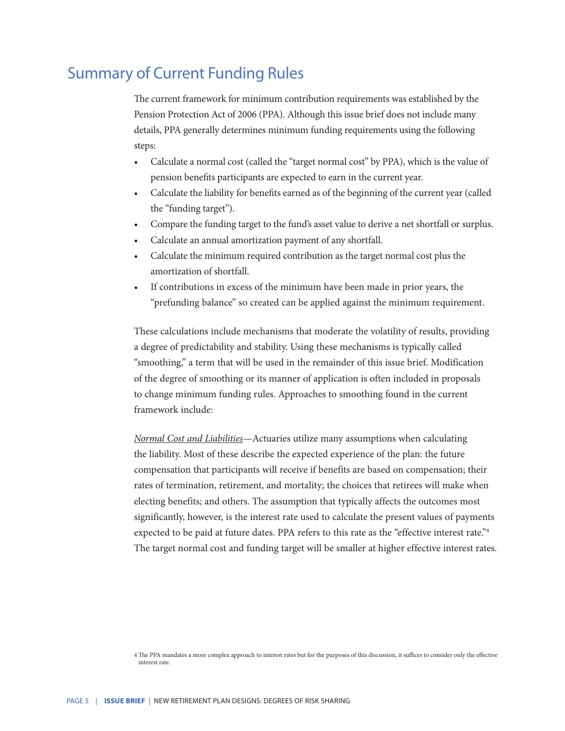#### Summary of Current Funding Rules

The current framework for minimum contribution requirements was established by the Pension Protection Act of 2006 (PPA). Although this issue brief does not include many details, PPA generally determines minimum funding requirements using the following steps:

- Calculate a normal cost (called the "target normal cost" by PPA), which is the value of pension benefits participants are expected to earn in the current year.
- Calculate the liability for benefits earned as of the beginning of the current year (called the "funding target").
- Compare the funding target to the fund's asset value to derive a net shortfall or surplus.
- Calculate an annual amortization payment of any shortfall.
- Calculate the minimum required contribution as the target normal cost plus the amortization of shortfall.
- If contributions in excess of the minimum have been made in prior years, the "prefunding balance" so created can be applied against the minimum requirement.

These calculations include mechanisms that moderate the volatility of results, providing a degree of predictability and stability. Using these mechanisms is typically called "smoothing," a term that will be used in the remainder of this issue brief. Modification of the degree of smoothing or its manner of application is often included in proposals to change minimum funding rules. Approaches to smoothing found in the current framework include:

*Normal Cost and Liabilities*—Actuaries utilize many assumptions when calculating the liability. Most of these describe the expected experience of the plan: the future compensation that participants will receive if benefits are based on compensation; their rates of termination, retirement, and mortality; the choices that retirees will make when electing benefits; and others. The assumption that typically affects the outcomes most significantly, however, is the interest rate used to calculate the present values of payments expected to be paid at future dates. PPA refers to this rate as the "effective interest rate."<sup>4</sup> The target normal cost and funding target will be smaller at higher effective interest rates.

<sup>4</sup> The PPA mandates a more complex approach to interest rates but for the purposes of this discussion, it suffices to consider only the effective interest rate.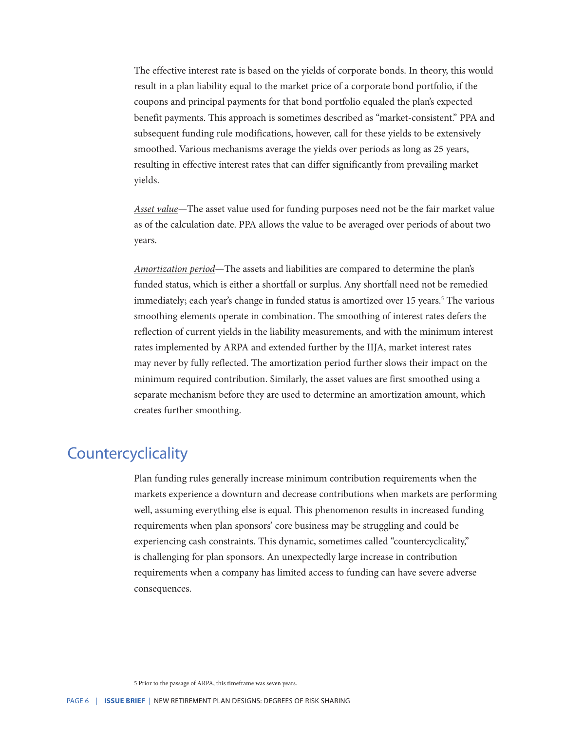The effective interest rate is based on the yields of corporate bonds. In theory, this would result in a plan liability equal to the market price of a corporate bond portfolio, if the coupons and principal payments for that bond portfolio equaled the plan's expected benefit payments. This approach is sometimes described as "market-consistent." PPA and subsequent funding rule modifications, however, call for these yields to be extensively smoothed. Various mechanisms average the yields over periods as long as 25 years, resulting in effective interest rates that can differ significantly from prevailing market yields.

*Asset value—*The asset value used for funding purposes need not be the fair market value as of the calculation date. PPA allows the value to be averaged over periods of about two years.

*Amortization period*—The assets and liabilities are compared to determine the plan's funded status, which is either a shortfall or surplus. Any shortfall need not be remedied immediately; each year's change in funded status is amortized over 15 years.<sup>5</sup> The various smoothing elements operate in combination. The smoothing of interest rates defers the reflection of current yields in the liability measurements, and with the minimum interest rates implemented by ARPA and extended further by the IIJA, market interest rates may never by fully reflected. The amortization period further slows their impact on the minimum required contribution. Similarly, the asset values are first smoothed using a separate mechanism before they are used to determine an amortization amount, which creates further smoothing.

#### **Countercyclicality**

Plan funding rules generally increase minimum contribution requirements when the markets experience a downturn and decrease contributions when markets are performing well, assuming everything else is equal. This phenomenon results in increased funding requirements when plan sponsors' core business may be struggling and could be experiencing cash constraints. This dynamic, sometimes called "countercyclicality," is challenging for plan sponsors. An unexpectedly large increase in contribution requirements when a company has limited access to funding can have severe adverse consequences.

5 Prior to the passage of ARPA, this timeframe was seven years.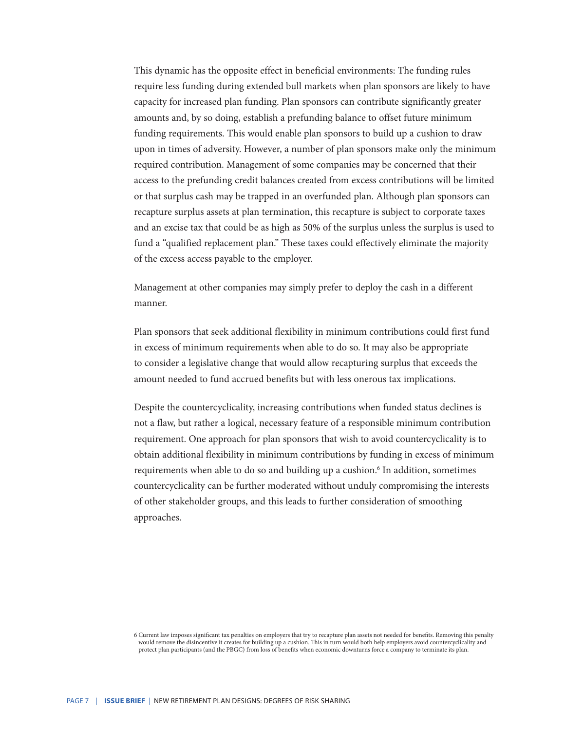This dynamic has the opposite effect in beneficial environments: The funding rules require less funding during extended bull markets when plan sponsors are likely to have capacity for increased plan funding. Plan sponsors can contribute significantly greater amounts and, by so doing, establish a prefunding balance to offset future minimum funding requirements. This would enable plan sponsors to build up a cushion to draw upon in times of adversity. However, a number of plan sponsors make only the minimum required contribution. Management of some companies may be concerned that their access to the prefunding credit balances created from excess contributions will be limited or that surplus cash may be trapped in an overfunded plan. Although plan sponsors can recapture surplus assets at plan termination, this recapture is subject to corporate taxes and an excise tax that could be as high as 50% of the surplus unless the surplus is used to fund a "qualified replacement plan." These taxes could effectively eliminate the majority of the excess access payable to the employer.

Management at other companies may simply prefer to deploy the cash in a different manner.

Plan sponsors that seek additional flexibility in minimum contributions could first fund in excess of minimum requirements when able to do so. It may also be appropriate to consider a legislative change that would allow recapturing surplus that exceeds the amount needed to fund accrued benefits but with less onerous tax implications.

Despite the countercyclicality, increasing contributions when funded status declines is not a flaw, but rather a logical, necessary feature of a responsible minimum contribution requirement. One approach for plan sponsors that wish to avoid countercyclicality is to obtain additional flexibility in minimum contributions by funding in excess of minimum requirements when able to do so and building up a cushion.<sup>6</sup> In addition, sometimes countercyclicality can be further moderated without unduly compromising the interests of other stakeholder groups, and this leads to further consideration of smoothing approaches.

<sup>6</sup> Current law imposes significant tax penalties on employers that try to recapture plan assets not needed for benefits. Removing this penalty would remove the disincentive it creates for building up a cushion. This in turn would both help employers avoid countercyclicality and protect plan participants (and the PBGC) from loss of benefits when economic downturns force a company to terminate its plan.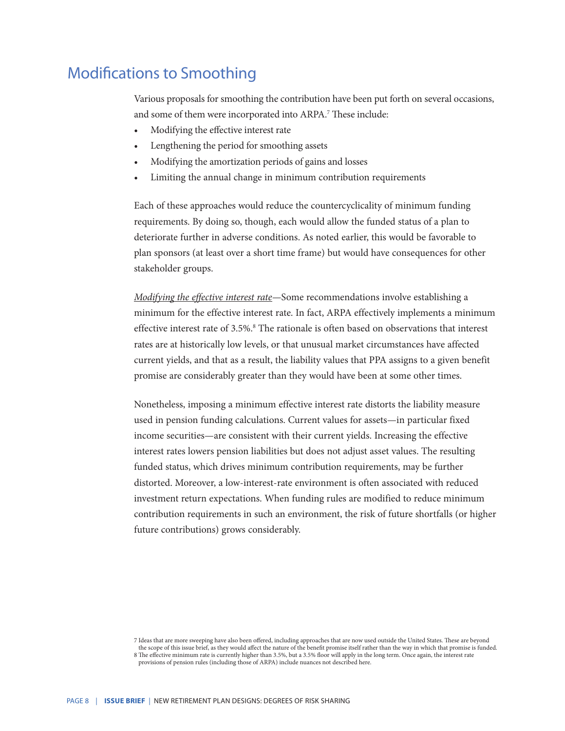#### Modifications to Smoothing

Various proposals for smoothing the contribution have been put forth on several occasions, and some of them were incorporated into ARPA.<sup>7</sup> These include:

- Modifying the effective interest rate
- Lengthening the period for smoothing assets
- Modifying the amortization periods of gains and losses
- Limiting the annual change in minimum contribution requirements

Each of these approaches would reduce the countercyclicality of minimum funding requirements. By doing so, though, each would allow the funded status of a plan to deteriorate further in adverse conditions. As noted earlier, this would be favorable to plan sponsors (at least over a short time frame) but would have consequences for other stakeholder groups.

*Modifying the effective interest rate—*Some recommendations involve establishing a minimum for the effective interest rate. In fact, ARPA effectively implements a minimum effective interest rate of 3.5%.<sup>8</sup> The rationale is often based on observations that interest rates are at historically low levels, or that unusual market circumstances have affected current yields, and that as a result, the liability values that PPA assigns to a given benefit promise are considerably greater than they would have been at some other times.

Nonetheless, imposing a minimum effective interest rate distorts the liability measure used in pension funding calculations. Current values for assets—in particular fixed income securities—are consistent with their current yields. Increasing the effective interest rates lowers pension liabilities but does not adjust asset values. The resulting funded status, which drives minimum contribution requirements, may be further distorted. Moreover, a low-interest-rate environment is often associated with reduced investment return expectations. When funding rules are modified to reduce minimum contribution requirements in such an environment, the risk of future shortfalls (or higher future contributions) grows considerably.

<sup>7</sup> Ideas that are more sweeping have also been offered, including approaches that are now used outside the United States. These are beyond the scope of this issue brief, as they would affect the nature of the benefit promise itself rather than the way in which that promise is funded.

<sup>8</sup> The effective minimum rate is currently higher than 3.5%, but a 3.5% floor will apply in the long term. Once again, the interest rate provisions of pension rules (including those of ARPA) include nuances not described here.

PAGE 8 | **ISSUE BRIEF** | NEW RETIREMENT PLAN DESIGNS: DEGREES OF RISK SHARING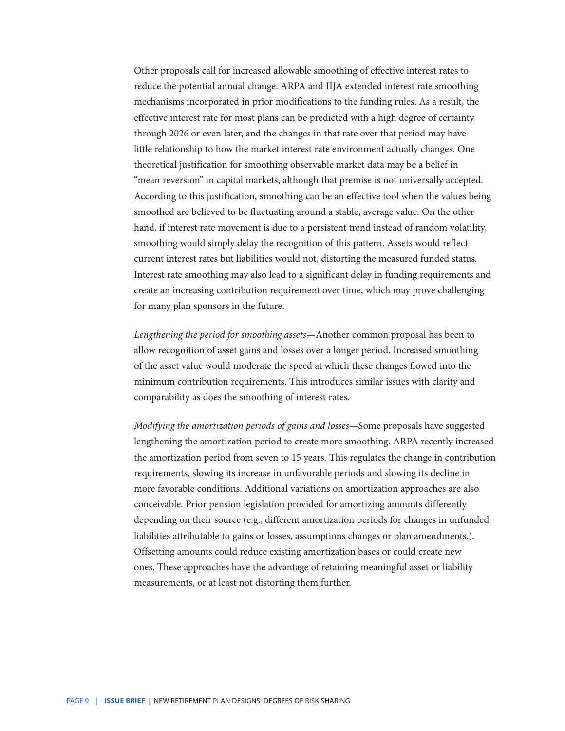Other proposals call for increased allowable smoothing of effective interest rates to reduce the potential annual change. ARPA and IIJA extended interest rate smoothing mechanisms incorporated in prior modifications to the funding rules. As a result, the effective interest rate for most plans can be predicted with a high degree of certainty through 2026 or even later, and the changes in that rate over that period may have little relationship to how the market interest rate environment actually changes. One theoretical justification for smoothing observable market data may be a belief in "mean reversion" in capital markets, although that premise is not universally accepted. According to this justification, smoothing can be an effective tool when the values being smoothed are believed to be fluctuating around a stable, average value. On the other hand, if interest rate movement is due to a persistent trend instead of random volatility, smoothing would simply delay the recognition of this pattern. Assets would reflect current interest rates but liabilities would not, distorting the measured funded status. Interest rate smoothing may also lead to a significant delay in funding requirements and create an increasing contribution requirement over time, which may prove challenging for many plan sponsors in the future.

*Lengthening the period for smoothing assets—*Another common proposal has been to allow recognition of asset gains and losses over a longer period. Increased smoothing of the asset value would moderate the speed at which these changes flowed into the minimum contribution requirements. This introduces similar issues with clarity and comparability as does the smoothing of interest rates.

*Modifying the amortization periods of gains and losses—*Some proposals have suggested lengthening the amortization period to create more smoothing. ARPA recently increased the amortization period from seven to 15 years. This regulates the change in contribution requirements, slowing its increase in unfavorable periods and slowing its decline in more favorable conditions. Additional variations on amortization approaches are also conceivable. Prior pension legislation provided for amortizing amounts differently depending on their source (e.g., different amortization periods for changes in unfunded liabilities attributable to gains or losses, assumptions changes or plan amendments.). Offsetting amounts could reduce existing amortization bases or could create new ones. These approaches have the advantage of retaining meaningful asset or liability measurements, or at least not distorting them further.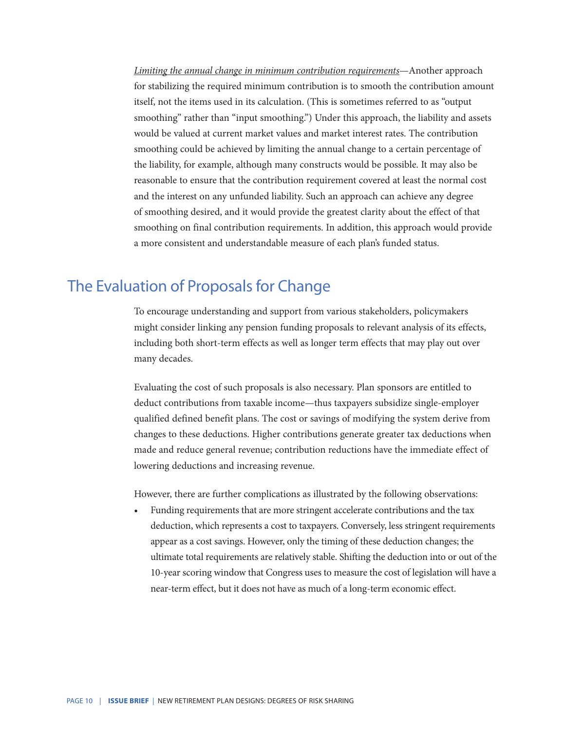*Limiting the annual change in minimum contribution requirements*—Another approach for stabilizing the required minimum contribution is to smooth the contribution amount itself, not the items used in its calculation. (This is sometimes referred to as "output smoothing" rather than "input smoothing.") Under this approach, the liability and assets would be valued at current market values and market interest rates. The contribution smoothing could be achieved by limiting the annual change to a certain percentage of the liability, for example, although many constructs would be possible. It may also be reasonable to ensure that the contribution requirement covered at least the normal cost and the interest on any unfunded liability. Such an approach can achieve any degree of smoothing desired, and it would provide the greatest clarity about the effect of that smoothing on final contribution requirements. In addition, this approach would provide a more consistent and understandable measure of each plan's funded status.

#### The Evaluation of Proposals for Change

To encourage understanding and support from various stakeholders, policymakers might consider linking any pension funding proposals to relevant analysis of its effects, including both short-term effects as well as longer term effects that may play out over many decades.

Evaluating the cost of such proposals is also necessary. Plan sponsors are entitled to deduct contributions from taxable income—thus taxpayers subsidize single-employer qualified defined benefit plans. The cost or savings of modifying the system derive from changes to these deductions. Higher contributions generate greater tax deductions when made and reduce general revenue; contribution reductions have the immediate effect of lowering deductions and increasing revenue.

However, there are further complications as illustrated by the following observations:

• Funding requirements that are more stringent accelerate contributions and the tax deduction, which represents a cost to taxpayers. Conversely, less stringent requirements appear as a cost savings. However, only the timing of these deduction changes; the ultimate total requirements are relatively stable. Shifting the deduction into or out of the 10-year scoring window that Congress uses to measure the cost of legislation will have a near-term effect, but it does not have as much of a long-term economic effect.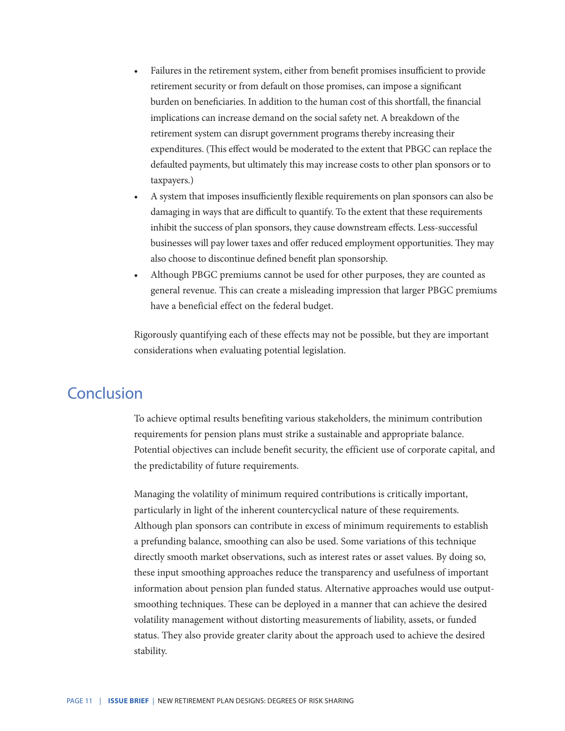- Failures in the retirement system, either from benefit promises insufficient to provide retirement security or from default on those promises, can impose a significant burden on beneficiaries. In addition to the human cost of this shortfall, the financial implications can increase demand on the social safety net. A breakdown of the retirement system can disrupt government programs thereby increasing their expenditures. (This effect would be moderated to the extent that PBGC can replace the defaulted payments, but ultimately this may increase costs to other plan sponsors or to taxpayers.)
- A system that imposes insufficiently flexible requirements on plan sponsors can also be damaging in ways that are difficult to quantify. To the extent that these requirements inhibit the success of plan sponsors, they cause downstream effects. Less-successful businesses will pay lower taxes and offer reduced employment opportunities. They may also choose to discontinue defined benefit plan sponsorship.
- Although PBGC premiums cannot be used for other purposes, they are counted as general revenue. This can create a misleading impression that larger PBGC premiums have a beneficial effect on the federal budget.

Rigorously quantifying each of these effects may not be possible, but they are important considerations when evaluating potential legislation.

#### Conclusion

To achieve optimal results benefiting various stakeholders, the minimum contribution requirements for pension plans must strike a sustainable and appropriate balance. Potential objectives can include benefit security, the efficient use of corporate capital, and the predictability of future requirements.

Managing the volatility of minimum required contributions is critically important, particularly in light of the inherent countercyclical nature of these requirements. Although plan sponsors can contribute in excess of minimum requirements to establish a prefunding balance, smoothing can also be used. Some variations of this technique directly smooth market observations, such as interest rates or asset values. By doing so, these input smoothing approaches reduce the transparency and usefulness of important information about pension plan funded status. Alternative approaches would use outputsmoothing techniques. These can be deployed in a manner that can achieve the desired volatility management without distorting measurements of liability, assets, or funded status. They also provide greater clarity about the approach used to achieve the desired stability.